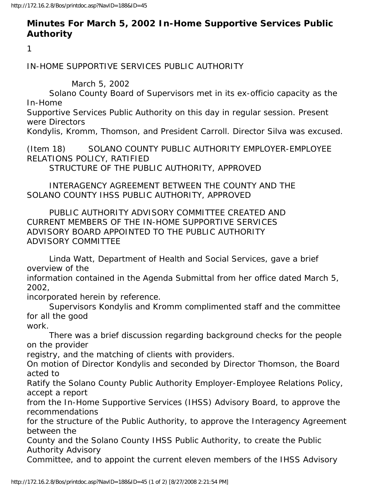## **Minutes For March 5, 2002 In-Home Supportive Services Public Authority**

1

IN-HOME SUPPORTIVE SERVICES PUBLIC AUTHORITY

March 5, 2002

 Solano County Board of Supervisors met in its ex-officio capacity as the In-Home

Supportive Services Public Authority on this day in regular session. Present were Directors

Kondylis, Kromm, Thomson, and President Carroll. Director Silva was excused.

(Item 18) SOLANO COUNTY PUBLIC AUTHORITY EMPLOYER-EMPLOYEE RELATIONS POLICY, RATIFIED

STRUCTURE OF THE PUBLIC AUTHORITY, APPROVED

 INTERAGENCY AGREEMENT BETWEEN THE COUNTY AND THE SOLANO COUNTY IHSS PUBLIC AUTHORITY, APPROVED

 PUBLIC AUTHORITY ADVISORY COMMITTEE CREATED AND CURRENT MEMBERS OF THE IN-HOME SUPPORTIVE SERVICES ADVISORY BOARD APPOINTED TO THE PUBLIC AUTHORITY ADVISORY COMMITTEE

 Linda Watt, Department of Health and Social Services, gave a brief overview of the

information contained in the Agenda Submittal from her office dated March 5, 2002,

incorporated herein by reference.

 Supervisors Kondylis and Kromm complimented staff and the committee for all the good

work.

 There was a brief discussion regarding background checks for the people on the provider

registry, and the matching of clients with providers.

On motion of Director Kondylis and seconded by Director Thomson, the Board acted to

Ratify the Solano County Public Authority Employer-Employee Relations Policy, accept a report

from the In-Home Supportive Services (IHSS) Advisory Board, to approve the recommendations

for the structure of the Public Authority, to approve the Interagency Agreement between the

County and the Solano County IHSS Public Authority, to create the Public Authority Advisory

Committee, and to appoint the current eleven members of the IHSS Advisory